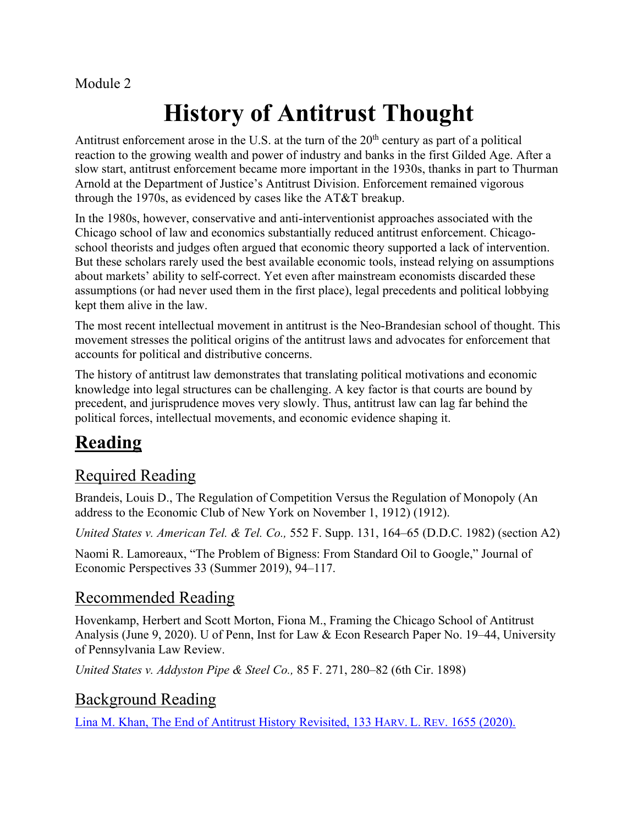#### Module 2

# **History of Antitrust Thought**

Antitrust enforcement arose in the U.S. at the turn of the  $20<sup>th</sup>$  century as part of a political reaction to the growing wealth and power of industry and banks in the first Gilded Age. After a slow start, antitrust enforcement became more important in the 1930s, thanks in part to Thurman Arnold at the Department of Justice's Antitrust Division. Enforcement remained vigorous through the 1970s, as evidenced by cases like the AT&T breakup.

In the 1980s, however, conservative and anti-interventionist approaches associated with the Chicago school of law and economics substantially reduced antitrust enforcement. Chicagoschool theorists and judges often argued that economic theory supported a lack of intervention. But these scholars rarely used the best available economic tools, instead relying on assumptions about markets' ability to self-correct. Yet even after mainstream economists discarded these assumptions (or had never used them in the first place), legal precedents and political lobbying kept them alive in the law.

The most recent intellectual movement in antitrust is the Neo-Brandesian school of thought. This movement stresses the political origins of the antitrust laws and advocates for enforcement that accounts for political and distributive concerns.

The history of antitrust law demonstrates that translating political motivations and economic knowledge into legal structures can be challenging. A key factor is that courts are bound by precedent, and jurisprudence moves very slowly. Thus, antitrust law can lag far behind the political forces, intellectual movements, and economic evidence shaping it.

# **Reading**

## Required Reading

Brandeis, Louis D., The Regulation of Competition Versus the Regulation of Monopoly (An address to the Economic Club of New York on November 1, 1912) (1912).

*United States v. American Tel. & Tel. Co.,* 552 F. Supp. 131, 164–65 (D.D.C. 1982) (section A2)

Naomi R. Lamoreaux, "The Problem of Bigness: From Standard Oil to Google," Journal of Economic Perspectives 33 (Summer 2019), 94–117.

### Recommended Reading

Hovenkamp, Herbert and Scott Morton, Fiona M., Framing the Chicago School of Antitrust Analysis (June 9, 2020). U of Penn, Inst for Law & Econ Research Paper No. 19–44, University of Pennsylvania Law Review.

*United States v. Addyston Pipe & Steel Co.,* 85 F. 271, 280–82 (6th Cir. 1898)

#### Background Reading

Lina M. Khan, The End of Antitrust History Revisited, 133 HARV. L. REV. 1655 (2020).